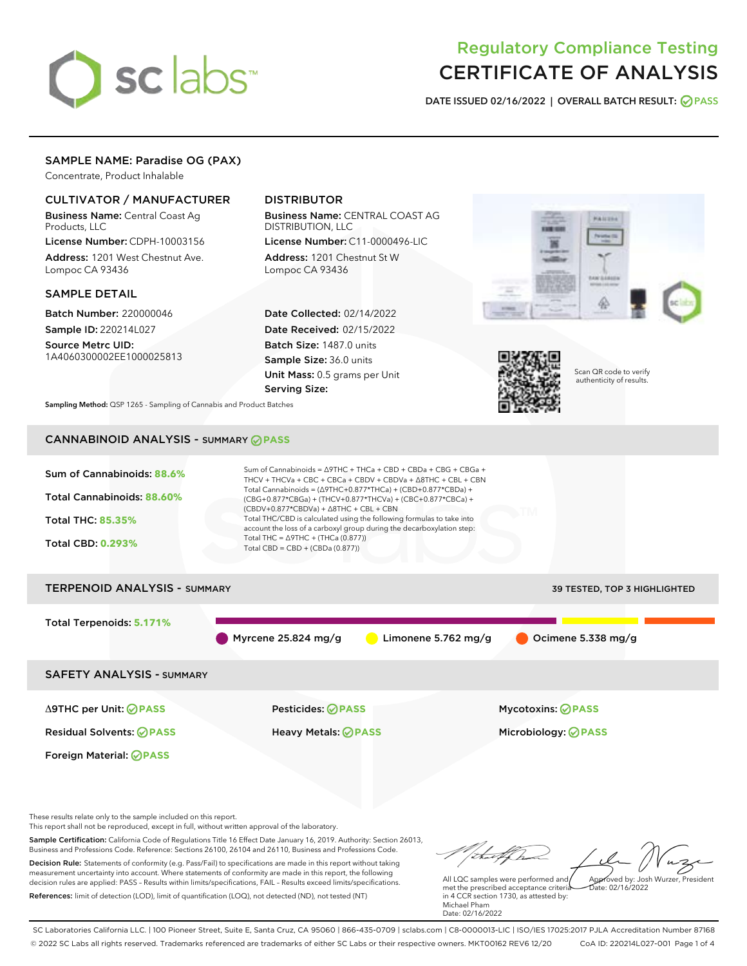# sclabs<sup>\*</sup>

# Regulatory Compliance Testing CERTIFICATE OF ANALYSIS

DATE ISSUED 02/16/2022 | OVERALL BATCH RESULT: @ PASS

# SAMPLE NAME: Paradise OG (PAX)

Concentrate, Product Inhalable

# CULTIVATOR / MANUFACTURER

Business Name: Central Coast Ag Products, LLC

License Number: CDPH-10003156 Address: 1201 West Chestnut Ave. Lompoc CA 93436

### SAMPLE DETAIL

Batch Number: 220000046 Sample ID: 220214L027

Source Metrc UID: 1A4060300002EE1000025813

# DISTRIBUTOR

Business Name: CENTRAL COAST AG DISTRIBUTION, LLC

License Number: C11-0000496-LIC Address: 1201 Chestnut St W Lompoc CA 93436

Date Collected: 02/14/2022 Date Received: 02/15/2022 Batch Size: 1487.0 units Sample Size: 36.0 units Unit Mass: 0.5 grams per Unit Serving Size:





Scan QR code to verify authenticity of results.

Sampling Method: QSP 1265 - Sampling of Cannabis and Product Batches

# CANNABINOID ANALYSIS - SUMMARY **PASS**



These results relate only to the sample included on this report.

This report shall not be reproduced, except in full, without written approval of the laboratory.

Sample Certification: California Code of Regulations Title 16 Effect Date January 16, 2019. Authority: Section 26013, Business and Professions Code. Reference: Sections 26100, 26104 and 26110, Business and Professions Code. Decision Rule: Statements of conformity (e.g. Pass/Fail) to specifications are made in this report without taking

measurement uncertainty into account. Where statements of conformity are made in this report, the following decision rules are applied: PASS – Results within limits/specifications, FAIL – Results exceed limits/specifications. References: limit of detection (LOD), limit of quantification (LOQ), not detected (ND), not tested (NT)

Approved by: Josh Wurzer, President

 $\frac{1}{2}$ ate: 02/16/20022

All LQC samples were performed and met the prescribed acceptance criteria in 4 CCR section 1730, as attested by: Michael Pham Date: 02/16/2022

SC Laboratories California LLC. | 100 Pioneer Street, Suite E, Santa Cruz, CA 95060 | 866-435-0709 | sclabs.com | C8-0000013-LIC | ISO/IES 17025:2017 PJLA Accreditation Number 87168 © 2022 SC Labs all rights reserved. Trademarks referenced are trademarks of either SC Labs or their respective owners. MKT00162 REV6 12/20 CoA ID: 220214L027-001 Page 1 of 4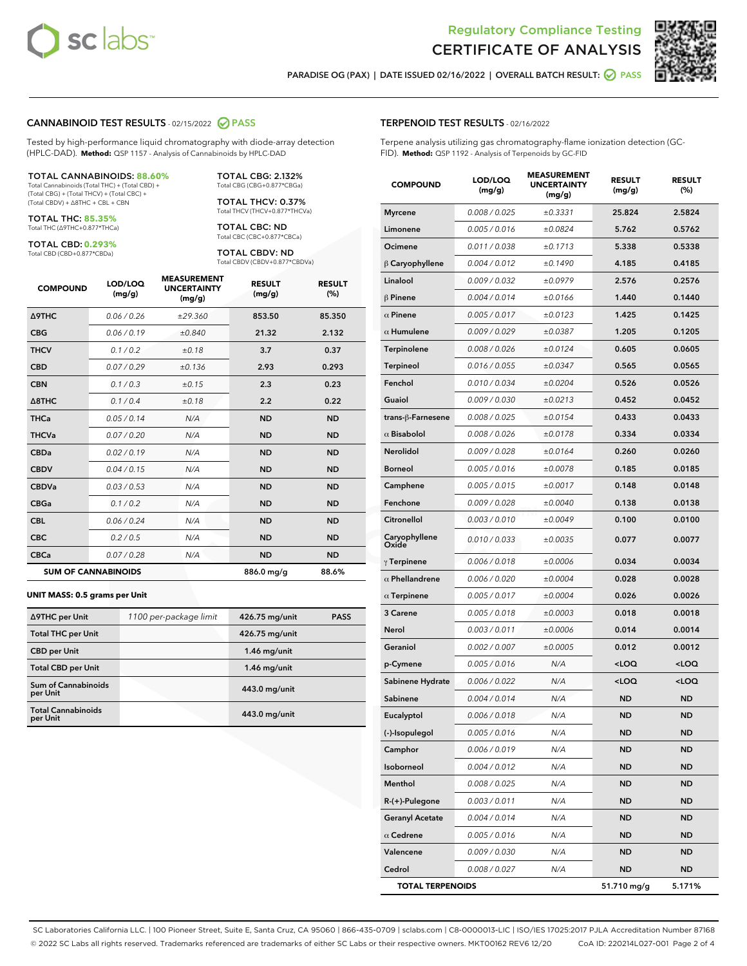



PARADISE OG (PAX) | DATE ISSUED 02/16/2022 | OVERALL BATCH RESULT:  $\bigcirc$  PASS

#### CANNABINOID TEST RESULTS - 02/15/2022 2 PASS

Tested by high-performance liquid chromatography with diode-array detection (HPLC-DAD). **Method:** QSP 1157 - Analysis of Cannabinoids by HPLC-DAD

#### TOTAL CANNABINOIDS: **88.60%**

Total Cannabinoids (Total THC) + (Total CBD) + (Total CBG) + (Total THCV) + (Total CBC) + (Total CBDV) + ∆8THC + CBL + CBN

TOTAL THC: **85.35%** Total THC (∆9THC+0.877\*THCa)

TOTAL CBD: **0.293%**

Total CBD (CBD+0.877\*CBDa)

TOTAL CBG: 2.132% Total CBG (CBG+0.877\*CBGa)

TOTAL THCV: 0.37% Total THCV (THCV+0.877\*THCVa)

TOTAL CBC: ND Total CBC (CBC+0.877\*CBCa)

TOTAL CBDV: ND Total CBDV (CBDV+0.877\*CBDVa)

| <b>COMPOUND</b>  | LOD/LOQ<br>(mg/g)          | <b>MEASUREMENT</b><br><b>UNCERTAINTY</b><br>(mg/g) | <b>RESULT</b><br>(mg/g) | <b>RESULT</b><br>(%) |
|------------------|----------------------------|----------------------------------------------------|-------------------------|----------------------|
| <b>A9THC</b>     | 0.06 / 0.26                | ±29.360                                            | 853.50                  | 85.350               |
| <b>CBG</b>       | 0.06/0.19                  | ±0.840                                             | 21.32                   | 2.132                |
| <b>THCV</b>      | 0.1 / 0.2                  | ±0.18                                              | 3.7                     | 0.37                 |
| <b>CBD</b>       | 0.07/0.29                  | ±0.136                                             | 2.93                    | 0.293                |
| <b>CBN</b>       | 0.1 / 0.3                  | ±0.15                                              | 2.3                     | 0.23                 |
| $\triangle$ 8THC | 0.1 / 0.4                  | ±0.18                                              | 2.2                     | 0.22                 |
| <b>THCa</b>      | 0.05/0.14                  | N/A                                                | <b>ND</b>               | <b>ND</b>            |
| <b>THCVa</b>     | 0.07/0.20                  | N/A                                                | <b>ND</b>               | <b>ND</b>            |
| <b>CBDa</b>      | 0.02/0.19                  | N/A                                                | <b>ND</b>               | <b>ND</b>            |
| <b>CBDV</b>      | 0.04 / 0.15                | N/A                                                | <b>ND</b>               | <b>ND</b>            |
| <b>CBDVa</b>     | 0.03/0.53                  | N/A                                                | <b>ND</b>               | <b>ND</b>            |
| <b>CBGa</b>      | 0.1 / 0.2                  | N/A                                                | <b>ND</b>               | <b>ND</b>            |
| <b>CBL</b>       | 0.06 / 0.24                | N/A                                                | <b>ND</b>               | <b>ND</b>            |
| <b>CBC</b>       | 0.2 / 0.5                  | N/A                                                | <b>ND</b>               | <b>ND</b>            |
| <b>CBCa</b>      | 0.07/0.28                  | N/A                                                | <b>ND</b>               | <b>ND</b>            |
|                  | <b>SUM OF CANNABINOIDS</b> |                                                    | 886.0 mg/g              | 88.6%                |

#### **UNIT MASS: 0.5 grams per Unit**

| ∆9THC per Unit                         | 1100 per-package limit | 426.75 mg/unit | <b>PASS</b> |
|----------------------------------------|------------------------|----------------|-------------|
| <b>Total THC per Unit</b>              |                        | 426.75 mg/unit |             |
| <b>CBD per Unit</b>                    |                        | $1.46$ mg/unit |             |
| <b>Total CBD per Unit</b>              |                        | $1.46$ mg/unit |             |
| <b>Sum of Cannabinoids</b><br>per Unit |                        | 443.0 mg/unit  |             |
| <b>Total Cannabinoids</b><br>per Unit  |                        | 443.0 mg/unit  |             |

| <b>COMPOUND</b>         | LOD/LOQ<br>(mg/g) | <b>MEASUREMENT</b><br><b>UNCERTAINTY</b><br>(mg/g) | <b>RESULT</b><br>(mg/g)                         | <b>RESULT</b><br>$(\%)$ |
|-------------------------|-------------------|----------------------------------------------------|-------------------------------------------------|-------------------------|
| <b>Myrcene</b>          | 0.008 / 0.025     | ±0.3331                                            | 25.824                                          | 2.5824                  |
| Limonene                | 0.005 / 0.016     | ±0.0824                                            | 5.762                                           | 0.5762                  |
| Ocimene                 | 0.011 / 0.038     | ±0.1713                                            | 5.338                                           | 0.5338                  |
| $\beta$ Caryophyllene   | 0.004 / 0.012     | ±0.1490                                            | 4.185                                           | 0.4185                  |
| Linalool                | 0.009 / 0.032     | ±0.0979                                            | 2.576                                           | 0.2576                  |
| <b>β Pinene</b>         | 0.004 / 0.014     | ±0.0166                                            | 1.440                                           | 0.1440                  |
| $\alpha$ Pinene         | 0.005 / 0.017     | ±0.0123                                            | 1.425                                           | 0.1425                  |
| $\alpha$ Humulene       | 0.009 / 0.029     | ±0.0387                                            | 1.205                                           | 0.1205                  |
| Terpinolene             | 0.008 / 0.026     | ±0.0124                                            | 0.605                                           | 0.0605                  |
| Terpineol               | 0.016 / 0.055     | ±0.0347                                            | 0.565                                           | 0.0565                  |
| Fenchol                 | 0.010 / 0.034     | ±0.0204                                            | 0.526                                           | 0.0526                  |
| Guaiol                  | 0.009 / 0.030     | ±0.0213                                            | 0.452                                           | 0.0452                  |
| trans-β-Farnesene       | 0.008 / 0.025     | ±0.0154                                            | 0.433                                           | 0.0433                  |
| $\alpha$ Bisabolol      | 0.008 / 0.026     | ±0.0178                                            | 0.334                                           | 0.0334                  |
| Nerolidol               | 0.009 / 0.028     | ±0.0164                                            | 0.260                                           | 0.0260                  |
| <b>Borneol</b>          | 0.005 / 0.016     | ±0.0078                                            | 0.185                                           | 0.0185                  |
| Camphene                | 0.005 / 0.015     | ±0.0017                                            | 0.148                                           | 0.0148                  |
| Fenchone                | 0.009 / 0.028     | ±0.0040                                            | 0.138                                           | 0.0138                  |
| Citronellol             | 0.003 / 0.010     | ±0.0049                                            | 0.100                                           | 0.0100                  |
| Caryophyllene<br>Oxide  | 0.010 / 0.033     | ±0.0035                                            | 0.077                                           | 0.0077                  |
| $\gamma$ Terpinene      | 0.006 / 0.018     | ±0.0006                                            | 0.034                                           | 0.0034                  |
| $\alpha$ Phellandrene   | 0.006 / 0.020     | ±0.0004                                            | 0.028                                           | 0.0028                  |
| $\alpha$ Terpinene      | 0.005 / 0.017     | ±0.0004                                            | 0.026                                           | 0.0026                  |
| 3 Carene                | 0.005 / 0.018     | ±0.0003                                            | 0.018                                           | 0.0018                  |
| Nerol                   | 0.003 / 0.011     | ±0.0006                                            | 0.014                                           | 0.0014                  |
| Geraniol                | 0.002 / 0.007     | ±0.0005                                            | 0.012                                           | 0.0012                  |
| p-Cymene                | 0.005 / 0.016     | N/A                                                | <loq< th=""><th><loq< th=""></loq<></th></loq<> | <loq< th=""></loq<>     |
| Sabinene Hydrate        | 0.006 / 0.022     | N/A                                                | <loq< th=""><th><loq< th=""></loq<></th></loq<> | <loq< th=""></loq<>     |
| Sabinene                | 0.004 / 0.014     | N/A                                                | <b>ND</b>                                       | ND                      |
| Eucalyptol              | 0.006 / 0.018     | N/A                                                | <b>ND</b>                                       | ND                      |
| (-)-Isopulegol          | 0.005 / 0.016     | N/A                                                | ND                                              | ND                      |
| Camphor                 | 0.006 / 0.019     | N/A                                                | ND                                              | <b>ND</b>               |
| Isoborneol              | 0.004 / 0.012     | N/A                                                | ND                                              | ND                      |
| Menthol                 | 0.008 / 0.025     | N/A                                                | ND                                              | <b>ND</b>               |
| R-(+)-Pulegone          | 0.003 / 0.011     | N/A                                                | ND                                              | <b>ND</b>               |
| <b>Geranyl Acetate</b>  | 0.004 / 0.014     | N/A                                                | ND                                              | ND                      |
| $\alpha$ Cedrene        | 0.005 / 0.016     | N/A                                                | ND                                              | ND                      |
| Valencene               | 0.009 / 0.030     | N/A                                                | ND                                              | ND                      |
| Cedrol                  | 0.008 / 0.027     | N/A                                                | ND                                              | ND                      |
| <b>TOTAL TERPENOIDS</b> |                   |                                                    | 51.710 mg/g                                     | 5.171%                  |

SC Laboratories California LLC. | 100 Pioneer Street, Suite E, Santa Cruz, CA 95060 | 866-435-0709 | sclabs.com | C8-0000013-LIC | ISO/IES 17025:2017 PJLA Accreditation Number 87168 © 2022 SC Labs all rights reserved. Trademarks referenced are trademarks of either SC Labs or their respective owners. MKT00162 REV6 12/20 CoA ID: 220214L027-001 Page 2 of 4

# TERPENOID TEST RESULTS - 02/16/2022

Terpene analysis utilizing gas chromatography-flame ionization detection (GC-FID). **Method:** QSP 1192 - Analysis of Terpenoids by GC-FID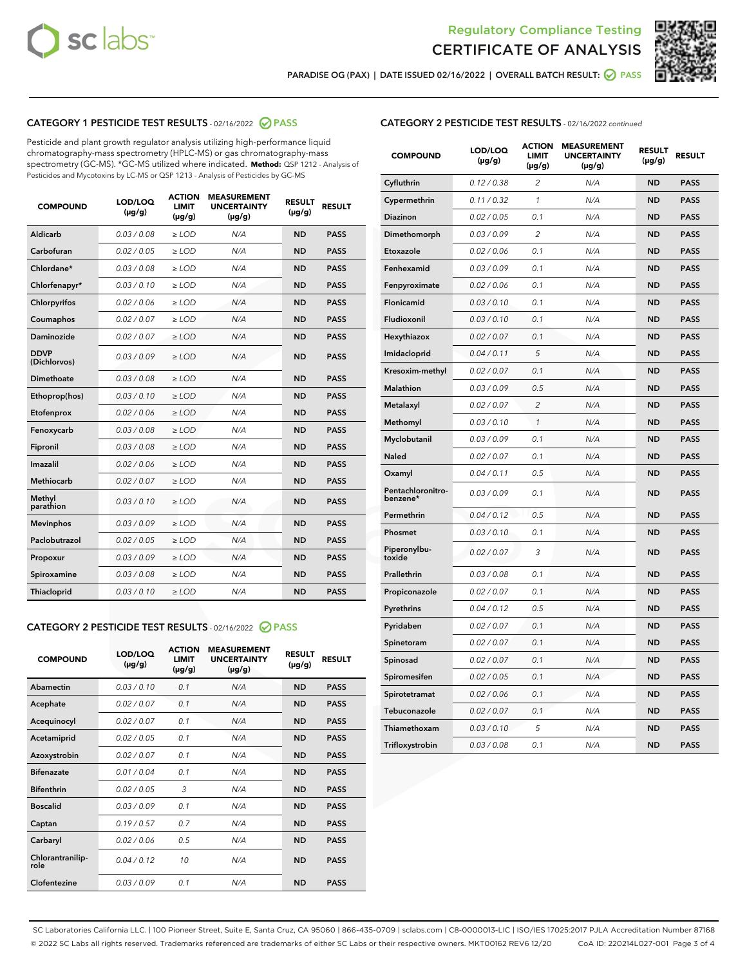



PARADISE OG (PAX) | DATE ISSUED 02/16/2022 | OVERALL BATCH RESULT:  $\bigotimes$  PASS

# CATEGORY 1 PESTICIDE TEST RESULTS - 02/16/2022 2 PASS

Pesticide and plant growth regulator analysis utilizing high-performance liquid chromatography-mass spectrometry (HPLC-MS) or gas chromatography-mass spectrometry (GC-MS). \*GC-MS utilized where indicated. **Method:** QSP 1212 - Analysis of Pesticides and Mycotoxins by LC-MS or QSP 1213 - Analysis of Pesticides by GC-MS

| <b>COMPOUND</b>             | LOD/LOQ<br>$(\mu g/g)$ | <b>ACTION</b><br><b>LIMIT</b><br>$(\mu g/g)$ | <b>MEASUREMENT</b><br><b>UNCERTAINTY</b><br>$(\mu g/g)$ | <b>RESULT</b><br>$(\mu g/g)$ | <b>RESULT</b> |
|-----------------------------|------------------------|----------------------------------------------|---------------------------------------------------------|------------------------------|---------------|
| Aldicarb                    | 0.03 / 0.08            | $\ge$ LOD                                    | N/A                                                     | <b>ND</b>                    | <b>PASS</b>   |
| Carbofuran                  | 0.02 / 0.05            | $\ge$ LOD                                    | N/A                                                     | <b>ND</b>                    | <b>PASS</b>   |
| Chlordane*                  | 0.03 / 0.08            | $\ge$ LOD                                    | N/A                                                     | <b>ND</b>                    | <b>PASS</b>   |
| Chlorfenapyr*               | 0.03/0.10              | $\ge$ LOD                                    | N/A                                                     | <b>ND</b>                    | <b>PASS</b>   |
| Chlorpyrifos                | 0.02 / 0.06            | $\ge$ LOD                                    | N/A                                                     | <b>ND</b>                    | <b>PASS</b>   |
| Coumaphos                   | 0.02 / 0.07            | $\ge$ LOD                                    | N/A                                                     | <b>ND</b>                    | <b>PASS</b>   |
| Daminozide                  | 0.02/0.07              | $\ge$ LOD                                    | N/A                                                     | <b>ND</b>                    | <b>PASS</b>   |
| <b>DDVP</b><br>(Dichlorvos) | 0.03/0.09              | $>$ LOD                                      | N/A                                                     | <b>ND</b>                    | <b>PASS</b>   |
| Dimethoate                  | 0.03 / 0.08            | $\ge$ LOD                                    | N/A                                                     | <b>ND</b>                    | <b>PASS</b>   |
| Ethoprop(hos)               | 0.03/0.10              | $>$ LOD                                      | N/A                                                     | <b>ND</b>                    | <b>PASS</b>   |
| Etofenprox                  | 0.02 / 0.06            | $\ge$ LOD                                    | N/A                                                     | <b>ND</b>                    | <b>PASS</b>   |
| Fenoxycarb                  | 0.03 / 0.08            | $\ge$ LOD                                    | N/A                                                     | <b>ND</b>                    | <b>PASS</b>   |
| Fipronil                    | 0.03/0.08              | $>$ LOD                                      | N/A                                                     | <b>ND</b>                    | <b>PASS</b>   |
| Imazalil                    | 0.02 / 0.06            | $\ge$ LOD                                    | N/A                                                     | <b>ND</b>                    | <b>PASS</b>   |
| <b>Methiocarb</b>           | 0.02 / 0.07            | $\ge$ LOD                                    | N/A                                                     | <b>ND</b>                    | <b>PASS</b>   |
| Methyl<br>parathion         | 0.03/0.10              | $\ge$ LOD                                    | N/A                                                     | <b>ND</b>                    | <b>PASS</b>   |
| <b>Mevinphos</b>            | 0.03/0.09              | $\ge$ LOD                                    | N/A                                                     | <b>ND</b>                    | <b>PASS</b>   |
| Paclobutrazol               | 0.02 / 0.05            | $\ge$ LOD                                    | N/A                                                     | <b>ND</b>                    | <b>PASS</b>   |
| Propoxur                    | 0.03/0.09              | $\ge$ LOD                                    | N/A                                                     | <b>ND</b>                    | <b>PASS</b>   |
| Spiroxamine                 | 0.03 / 0.08            | $\ge$ LOD                                    | N/A                                                     | <b>ND</b>                    | <b>PASS</b>   |
| Thiacloprid                 | 0.03/0.10              | $\ge$ LOD                                    | N/A                                                     | <b>ND</b>                    | <b>PASS</b>   |

#### CATEGORY 2 PESTICIDE TEST RESULTS - 02/16/2022 2 PASS

| <b>COMPOUND</b>          | LOD/LOO<br>$(\mu g/g)$ | <b>ACTION</b><br>LIMIT<br>$(\mu g/g)$ | <b>MEASUREMENT</b><br><b>UNCERTAINTY</b><br>$(\mu g/g)$ | <b>RESULT</b><br>$(\mu g/g)$ | <b>RESULT</b> |
|--------------------------|------------------------|---------------------------------------|---------------------------------------------------------|------------------------------|---------------|
| Abamectin                | 0.03/0.10              | 0.1                                   | N/A                                                     | <b>ND</b>                    | <b>PASS</b>   |
| Acephate                 | 0.02/0.07              | 0.1                                   | N/A                                                     | <b>ND</b>                    | <b>PASS</b>   |
| Acequinocyl              | 0.02/0.07              | 0.1                                   | N/A                                                     | <b>ND</b>                    | <b>PASS</b>   |
| Acetamiprid              | 0.02 / 0.05            | 0.1                                   | N/A                                                     | <b>ND</b>                    | <b>PASS</b>   |
| Azoxystrobin             | 0.02/0.07              | 0.1                                   | N/A                                                     | <b>ND</b>                    | <b>PASS</b>   |
| <b>Bifenazate</b>        | 0.01 / 0.04            | 0.1                                   | N/A                                                     | <b>ND</b>                    | <b>PASS</b>   |
| <b>Bifenthrin</b>        | 0.02 / 0.05            | 3                                     | N/A                                                     | <b>ND</b>                    | <b>PASS</b>   |
| <b>Boscalid</b>          | 0.03/0.09              | 0.1                                   | N/A                                                     | <b>ND</b>                    | <b>PASS</b>   |
| Captan                   | 0.19/0.57              | 0.7                                   | N/A                                                     | <b>ND</b>                    | <b>PASS</b>   |
| Carbaryl                 | 0.02/0.06              | 0.5                                   | N/A                                                     | <b>ND</b>                    | <b>PASS</b>   |
| Chlorantranilip-<br>role | 0.04/0.12              | 10                                    | N/A                                                     | <b>ND</b>                    | <b>PASS</b>   |
| Clofentezine             | 0.03/0.09              | 0.1                                   | N/A                                                     | <b>ND</b>                    | <b>PASS</b>   |

| <b>CATEGORY 2 PESTICIDE TEST RESULTS</b> - 02/16/2022 continued |
|-----------------------------------------------------------------|
|-----------------------------------------------------------------|

| <b>COMPOUND</b>               | LOD/LOQ<br>(µg/g) | <b>ACTION</b><br><b>LIMIT</b><br>$(\mu g/g)$ | <b>MEASUREMENT</b><br><b>UNCERTAINTY</b><br>$(\mu g/g)$ | <b>RESULT</b><br>(µg/g) | <b>RESULT</b> |
|-------------------------------|-------------------|----------------------------------------------|---------------------------------------------------------|-------------------------|---------------|
| Cyfluthrin                    | 0.12 / 0.38       | 2                                            | N/A                                                     | <b>ND</b>               | <b>PASS</b>   |
| Cypermethrin                  | 0.11 / 0.32       | 1                                            | N/A                                                     | <b>ND</b>               | <b>PASS</b>   |
| Diazinon                      | 0.02 / 0.05       | 0.1                                          | N/A                                                     | <b>ND</b>               | <b>PASS</b>   |
| Dimethomorph                  | 0.03 / 0.09       | 2                                            | N/A                                                     | <b>ND</b>               | <b>PASS</b>   |
| Etoxazole                     | 0.02 / 0.06       | 0.1                                          | N/A                                                     | <b>ND</b>               | <b>PASS</b>   |
| Fenhexamid                    | 0.03 / 0.09       | 0.1                                          | N/A                                                     | <b>ND</b>               | <b>PASS</b>   |
| Fenpyroximate                 | 0.02 / 0.06       | 0.1                                          | N/A                                                     | <b>ND</b>               | <b>PASS</b>   |
| Flonicamid                    | 0.03 / 0.10       | 0.1                                          | N/A                                                     | <b>ND</b>               | <b>PASS</b>   |
| Fludioxonil                   | 0.03/0.10         | 0.1                                          | N/A                                                     | <b>ND</b>               | <b>PASS</b>   |
| Hexythiazox                   | 0.02 / 0.07       | 0.1                                          | N/A                                                     | <b>ND</b>               | <b>PASS</b>   |
| Imidacloprid                  | 0.04 / 0.11       | 5                                            | N/A                                                     | <b>ND</b>               | <b>PASS</b>   |
| Kresoxim-methyl               | 0.02 / 0.07       | 0.1                                          | N/A                                                     | <b>ND</b>               | <b>PASS</b>   |
| <b>Malathion</b>              | 0.03 / 0.09       | 0.5                                          | N/A                                                     | <b>ND</b>               | <b>PASS</b>   |
| Metalaxyl                     | 0.02 / 0.07       | $\overline{c}$                               | N/A                                                     | <b>ND</b>               | <b>PASS</b>   |
| Methomyl                      | 0.03 / 0.10       | $\mathcal{I}$                                | N/A                                                     | <b>ND</b>               | <b>PASS</b>   |
| Myclobutanil                  | 0.03 / 0.09       | 0.1                                          | N/A                                                     | <b>ND</b>               | <b>PASS</b>   |
| <b>Naled</b>                  | 0.02 / 0.07       | 0.1                                          | N/A                                                     | <b>ND</b>               | <b>PASS</b>   |
| Oxamyl                        | 0.04 / 0.11       | 0.5                                          | N/A                                                     | ND                      | <b>PASS</b>   |
| Pentachloronitro-<br>benzene* | 0.03 / 0.09       | 0.1                                          | N/A                                                     | <b>ND</b>               | <b>PASS</b>   |
| Permethrin                    | 0.04 / 0.12       | 0.5                                          | N/A                                                     | <b>ND</b>               | <b>PASS</b>   |
| Phosmet                       | 0.03/0.10         | 0.1                                          | N/A                                                     | <b>ND</b>               | <b>PASS</b>   |
| Piperonylbu-<br>toxide        | 0.02 / 0.07       | 3                                            | N/A                                                     | <b>ND</b>               | <b>PASS</b>   |
| Prallethrin                   | 0.03 / 0.08       | 0.1                                          | N/A                                                     | <b>ND</b>               | <b>PASS</b>   |
| Propiconazole                 | 0.02 / 0.07       | 0.1                                          | N/A                                                     | ND                      | <b>PASS</b>   |
| Pyrethrins                    | 0.04 / 0.12       | 0.5                                          | N/A                                                     | <b>ND</b>               | <b>PASS</b>   |
| Pyridaben                     | 0.02 / 0.07       | 0.1                                          | N/A                                                     | <b>ND</b>               | <b>PASS</b>   |
| Spinetoram                    | 0.02 / 0.07       | 0.1                                          | N/A                                                     | <b>ND</b>               | <b>PASS</b>   |
| Spinosad                      | 0.02 / 0.07       | 0.1                                          | N/A                                                     | <b>ND</b>               | <b>PASS</b>   |
| Spiromesifen                  | 0.02 / 0.05       | 0.1                                          | N/A                                                     | <b>ND</b>               | <b>PASS</b>   |
| Spirotetramat                 | 0.02 / 0.06       | 0.1                                          | N/A                                                     | <b>ND</b>               | <b>PASS</b>   |
| Tebuconazole                  | 0.02 / 0.07       | 0.1                                          | N/A                                                     | ND                      | <b>PASS</b>   |
| Thiamethoxam                  | 0.03 / 0.10       | 5                                            | N/A                                                     | <b>ND</b>               | <b>PASS</b>   |
| Trifloxystrobin               | 0.03 / 0.08       | 0.1                                          | N/A                                                     | <b>ND</b>               | <b>PASS</b>   |

SC Laboratories California LLC. | 100 Pioneer Street, Suite E, Santa Cruz, CA 95060 | 866-435-0709 | sclabs.com | C8-0000013-LIC | ISO/IES 17025:2017 PJLA Accreditation Number 87168 © 2022 SC Labs all rights reserved. Trademarks referenced are trademarks of either SC Labs or their respective owners. MKT00162 REV6 12/20 CoA ID: 220214L027-001 Page 3 of 4